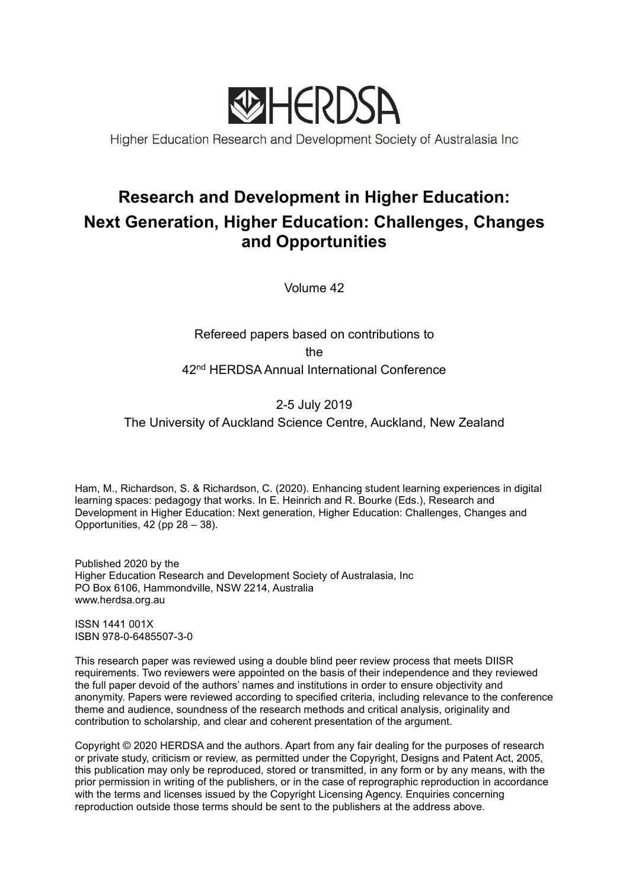

Higher Education Research and Development Society of Australasia Inc

# Research and Development in Higher Education: Next Generation, Higher Education: Challenges, Changes and Opportunities

Volume 42

# Refereed papers based on contributions to the 42<sup>nd</sup> HERDSA Annual International Conference

# 2-5 July 2019 The University of Auckland Science Centre, Auckland, New Zealand

Ham, M., Richardson, S. & Richardson, C. (2020). Enhancing student learning experiences in digital learning spaces: pedagogy that works. In E. Heinrich and R. Bourke (Eds.), Research and Development in Higher Education: Next generation, Higher Education: Challenges, Changes and Opportunities, 42 (pp 28 – 38).

Published 2020 by the Higher Education Research and Development Society of Australasia, Inc PO Box 6106, Hammondville, NSW 2214, Australia www.herdsa.org.au

ISSN 1441 001X ISBN 978-0-6485507-3-0

This research paper was reviewed using a double blind peer review process that meets DIISR requirements. Two reviewers were appointed on the basis of their independence and they reviewed the full paper devoid of the authors' names and institutions in order to ensure objectivity and anonymity. Papers were reviewed according to specified criteria, including relevance to the conference theme and audience, soundness of the research methods and critical analysis, originality and contribution to scholarship, and clear and coherent presentation of the argument.

Copyright © 2020 HERDSA and the authors. Apart from any fair dealing for the purposes of research or private study, criticism or review, as permitted under the Copyright, Designs and Patent Act, 2005, this publication may only be reproduced, stored or transmitted, in any form or by any means, with the prior permission in writing of the publishers, or in the case of reprographic reproduction in accordance with the terms and licenses issued by the Copyright Licensing Agency. Enquiries concerning reproduction outside those terms should be sent to the publishers at the address above.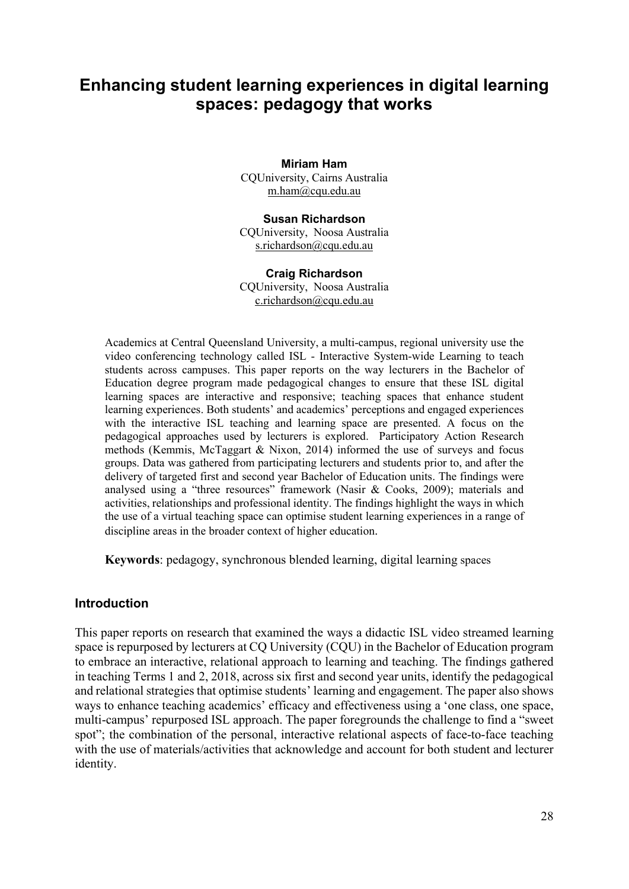# Enhancing student learning experiences in digital learning spaces: pedagogy that works

Miriam Ham CQUniversity, Cairns Australia m.ham@cqu.edu.au

Susan Richardson CQUniversity, Noosa Australia s.richardson@cqu.edu.au

#### Craig Richardson CQUniversity, Noosa Australia c.richardson@cqu.edu.au

Academics at Central Queensland University, a multi-campus, regional university use the video conferencing technology called ISL - Interactive System-wide Learning to teach students across campuses. This paper reports on the way lecturers in the Bachelor of Education degree program made pedagogical changes to ensure that these ISL digital learning spaces are interactive and responsive; teaching spaces that enhance student learning experiences. Both students' and academics' perceptions and engaged experiences with the interactive ISL teaching and learning space are presented. A focus on the pedagogical approaches used by lecturers is explored. Participatory Action Research methods (Kemmis, McTaggart & Nixon, 2014) informed the use of surveys and focus groups. Data was gathered from participating lecturers and students prior to, and after the delivery of targeted first and second year Bachelor of Education units. The findings were analysed using a "three resources" framework (Nasir & Cooks, 2009); materials and activities, relationships and professional identity. The findings highlight the ways in which the use of a virtual teaching space can optimise student learning experiences in a range of discipline areas in the broader context of higher education.

Keywords: pedagogy, synchronous blended learning, digital learning spaces

## **Introduction**

This paper reports on research that examined the ways a didactic ISL video streamed learning space is repurposed by lecturers at CQ University (CQU) in the Bachelor of Education program to embrace an interactive, relational approach to learning and teaching. The findings gathered in teaching Terms 1 and 2, 2018, across six first and second year units, identify the pedagogical and relational strategies that optimise students' learning and engagement. The paper also shows ways to enhance teaching academics' efficacy and effectiveness using a 'one class, one space, multi-campus' repurposed ISL approach. The paper foregrounds the challenge to find a "sweet spot"; the combination of the personal, interactive relational aspects of face-to-face teaching with the use of materials/activities that acknowledge and account for both student and lecturer identity.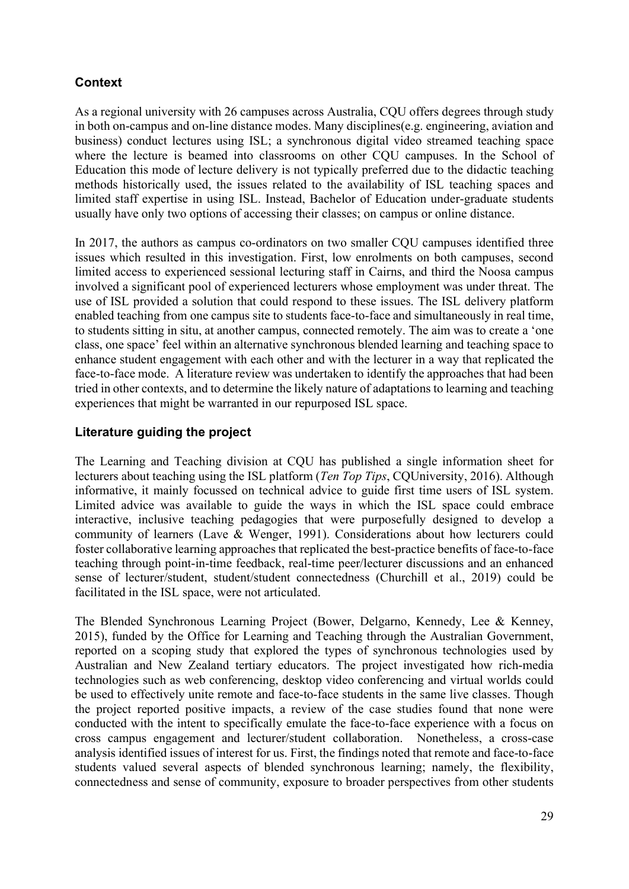# **Context**

As a regional university with 26 campuses across Australia, CQU offers degrees through study in both on-campus and on-line distance modes. Many disciplines(e.g. engineering, aviation and business) conduct lectures using ISL; a synchronous digital video streamed teaching space where the lecture is beamed into classrooms on other CQU campuses. In the School of Education this mode of lecture delivery is not typically preferred due to the didactic teaching methods historically used, the issues related to the availability of ISL teaching spaces and limited staff expertise in using ISL. Instead, Bachelor of Education under-graduate students usually have only two options of accessing their classes; on campus or online distance.

In 2017, the authors as campus co-ordinators on two smaller CQU campuses identified three issues which resulted in this investigation. First, low enrolments on both campuses, second limited access to experienced sessional lecturing staff in Cairns, and third the Noosa campus involved a significant pool of experienced lecturers whose employment was under threat. The use of ISL provided a solution that could respond to these issues. The ISL delivery platform enabled teaching from one campus site to students face-to-face and simultaneously in real time, to students sitting in situ, at another campus, connected remotely. The aim was to create a 'one class, one space' feel within an alternative synchronous blended learning and teaching space to enhance student engagement with each other and with the lecturer in a way that replicated the face-to-face mode. A literature review was undertaken to identify the approaches that had been tried in other contexts, and to determine the likely nature of adaptations to learning and teaching experiences that might be warranted in our repurposed ISL space.

## Literature guiding the project

The Learning and Teaching division at CQU has published a single information sheet for lecturers about teaching using the ISL platform (*Ten Top Tips*, CQUniversity, 2016). Although informative, it mainly focussed on technical advice to guide first time users of ISL system. Limited advice was available to guide the ways in which the ISL space could embrace interactive, inclusive teaching pedagogies that were purposefully designed to develop a community of learners (Lave & Wenger, 1991). Considerations about how lecturers could foster collaborative learning approaches that replicated the best-practice benefits of face-to-face teaching through point-in-time feedback, real-time peer/lecturer discussions and an enhanced sense of lecturer/student, student/student connectedness (Churchill et al., 2019) could be facilitated in the ISL space, were not articulated.

The Blended Synchronous Learning Project (Bower, Delgarno, Kennedy, Lee & Kenney, 2015), funded by the Office for Learning and Teaching through the Australian Government, reported on a scoping study that explored the types of synchronous technologies used by Australian and New Zealand tertiary educators. The project investigated how rich-media technologies such as web conferencing, desktop video conferencing and virtual worlds could be used to effectively unite remote and face-to-face students in the same live classes. Though the project reported positive impacts, a review of the case studies found that none were conducted with the intent to specifically emulate the face-to-face experience with a focus on cross campus engagement and lecturer/student collaboration. Nonetheless, a cross-case analysis identified issues of interest for us. First, the findings noted that remote and face-to-face students valued several aspects of blended synchronous learning; namely, the flexibility, connectedness and sense of community, exposure to broader perspectives from other students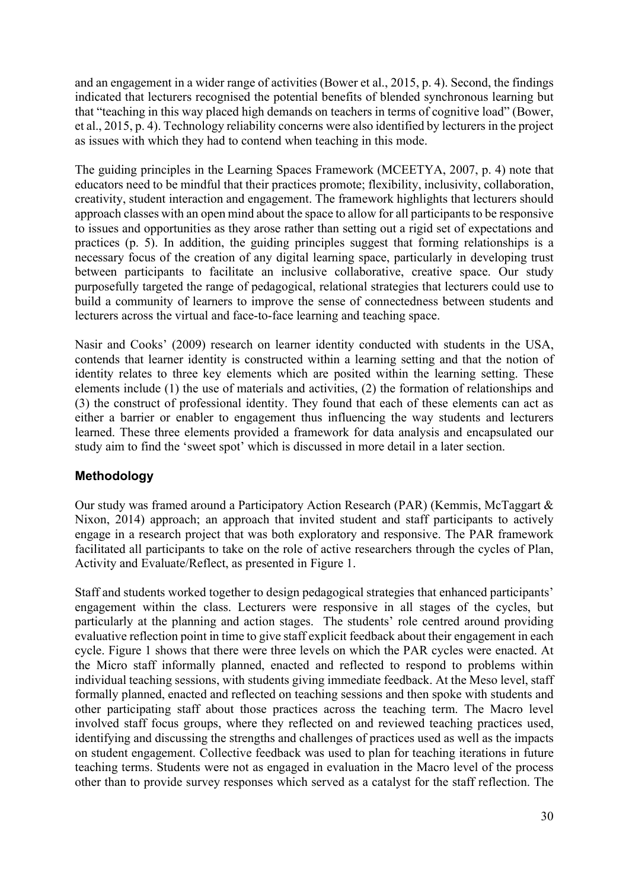and an engagement in a wider range of activities (Bower et al., 2015, p. 4). Second, the findings indicated that lecturers recognised the potential benefits of blended synchronous learning but that "teaching in this way placed high demands on teachers in terms of cognitive load" (Bower, et al., 2015, p. 4). Technology reliability concerns were also identified by lecturers in the project as issues with which they had to contend when teaching in this mode.

The guiding principles in the Learning Spaces Framework (MCEETYA, 2007, p. 4) note that educators need to be mindful that their practices promote; flexibility, inclusivity, collaboration, creativity, student interaction and engagement. The framework highlights that lecturers should approach classes with an open mind about the space to allow for all participants to be responsive to issues and opportunities as they arose rather than setting out a rigid set of expectations and practices (p. 5). In addition, the guiding principles suggest that forming relationships is a necessary focus of the creation of any digital learning space, particularly in developing trust between participants to facilitate an inclusive collaborative, creative space. Our study purposefully targeted the range of pedagogical, relational strategies that lecturers could use to build a community of learners to improve the sense of connectedness between students and lecturers across the virtual and face-to-face learning and teaching space.

Nasir and Cooks' (2009) research on learner identity conducted with students in the USA, contends that learner identity is constructed within a learning setting and that the notion of identity relates to three key elements which are posited within the learning setting. These elements include (1) the use of materials and activities, (2) the formation of relationships and (3) the construct of professional identity. They found that each of these elements can act as either a barrier or enabler to engagement thus influencing the way students and lecturers learned. These three elements provided a framework for data analysis and encapsulated our study aim to find the 'sweet spot' which is discussed in more detail in a later section.

## Methodology

Our study was framed around a Participatory Action Research (PAR) (Kemmis, McTaggart & Nixon, 2014) approach; an approach that invited student and staff participants to actively engage in a research project that was both exploratory and responsive. The PAR framework facilitated all participants to take on the role of active researchers through the cycles of Plan, Activity and Evaluate/Reflect, as presented in Figure 1.

Staff and students worked together to design pedagogical strategies that enhanced participants' engagement within the class. Lecturers were responsive in all stages of the cycles, but particularly at the planning and action stages. The students' role centred around providing evaluative reflection point in time to give staff explicit feedback about their engagement in each cycle. Figure 1 shows that there were three levels on which the PAR cycles were enacted. At the Micro staff informally planned, enacted and reflected to respond to problems within individual teaching sessions, with students giving immediate feedback. At the Meso level, staff formally planned, enacted and reflected on teaching sessions and then spoke with students and other participating staff about those practices across the teaching term. The Macro level involved staff focus groups, where they reflected on and reviewed teaching practices used, identifying and discussing the strengths and challenges of practices used as well as the impacts on student engagement. Collective feedback was used to plan for teaching iterations in future teaching terms. Students were not as engaged in evaluation in the Macro level of the process other than to provide survey responses which served as a catalyst for the staff reflection. The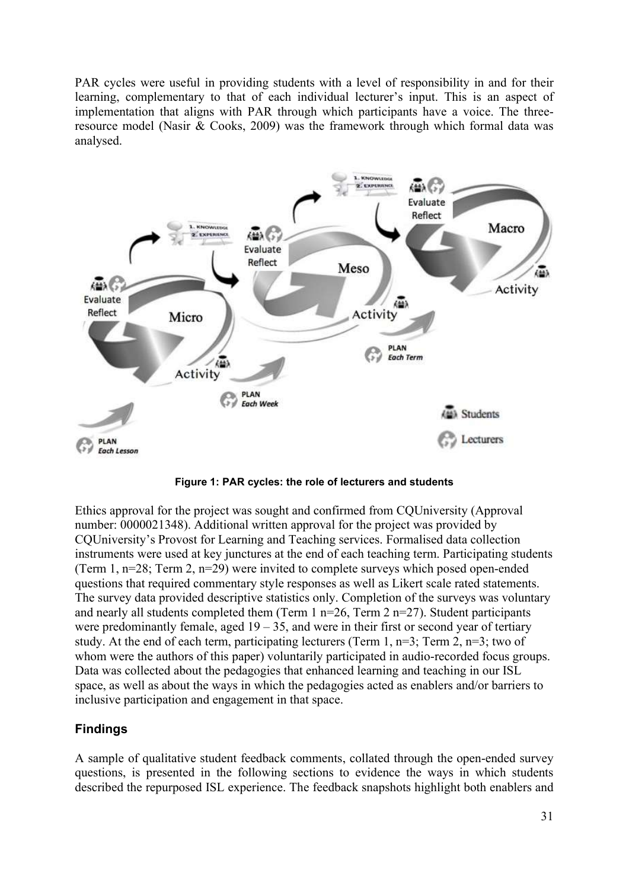PAR cycles were useful in providing students with a level of responsibility in and for their learning, complementary to that of each individual lecturer's input. This is an aspect of implementation that aligns with PAR through which participants have a voice. The threeresource model (Nasir & Cooks, 2009) was the framework through which formal data was analysed.



Figure 1: PAR cycles: the role of lecturers and students

Ethics approval for the project was sought and confirmed from CQUniversity (Approval number: 0000021348). Additional written approval for the project was provided by CQUniversity's Provost for Learning and Teaching services. Formalised data collection instruments were used at key junctures at the end of each teaching term. Participating students (Term 1, n=28; Term 2, n=29) were invited to complete surveys which posed open-ended questions that required commentary style responses as well as Likert scale rated statements. The survey data provided descriptive statistics only. Completion of the surveys was voluntary and nearly all students completed them (Term 1 n=26, Term 2 n=27). Student participants were predominantly female, aged  $19 - 35$ , and were in their first or second year of tertiary study. At the end of each term, participating lecturers (Term 1,  $n=3$ ; Term 2,  $n=3$ ; two of whom were the authors of this paper) voluntarily participated in audio-recorded focus groups. Data was collected about the pedagogies that enhanced learning and teaching in our ISL space, as well as about the ways in which the pedagogies acted as enablers and/or barriers to inclusive participation and engagement in that space.

## Findings

A sample of qualitative student feedback comments, collated through the open-ended survey questions, is presented in the following sections to evidence the ways in which students described the repurposed ISL experience. The feedback snapshots highlight both enablers and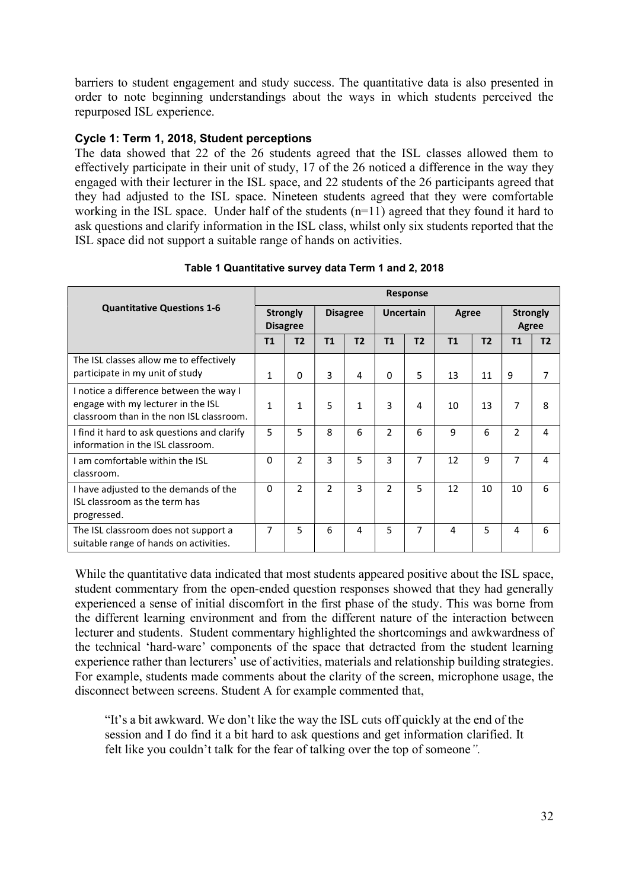barriers to student engagement and study success. The quantitative data is also presented in order to note beginning understandings about the ways in which students perceived the repurposed ISL experience.

## Cycle 1: Term 1, 2018, Student perceptions

The data showed that 22 of the 26 students agreed that the ISL classes allowed them to effectively participate in their unit of study, 17 of the 26 noticed a difference in the way they engaged with their lecturer in the ISL space, and 22 students of the 26 participants agreed that they had adjusted to the ISL space. Nineteen students agreed that they were comfortable working in the ISL space. Under half of the students  $(n=11)$  agreed that they found it hard to ask questions and clarify information in the ISL class, whilst only six students reported that the ISL space did not support a suitable range of hands on activities.

|                                                                                                                           | <b>Response</b>                    |                |                 |              |                  |                |       |                |                          |                |
|---------------------------------------------------------------------------------------------------------------------------|------------------------------------|----------------|-----------------|--------------|------------------|----------------|-------|----------------|--------------------------|----------------|
| <b>Quantitative Questions 1-6</b>                                                                                         | <b>Strongly</b><br><b>Disagree</b> |                | <b>Disagree</b> |              | <b>Uncertain</b> |                | Agree |                | <b>Strongly</b><br>Agree |                |
|                                                                                                                           | T1                                 | T2             | T1              | T2           | <b>T1</b>        | T <sub>2</sub> | T1    | T <sub>2</sub> | T1                       | T <sub>2</sub> |
| The ISL classes allow me to effectively<br>participate in my unit of study                                                | 1                                  | 0              | 3               | 4            | $\Omega$         | 5              | 13    | 11             | 9                        | 7              |
| I notice a difference between the way I<br>engage with my lecturer in the ISL<br>classroom than in the non ISL classroom. | 1                                  | $\mathbf{1}$   | 5               | $\mathbf{1}$ | 3                | 4              | 10    | 13             | 7                        | 8              |
| I find it hard to ask questions and clarify<br>information in the ISL classroom.                                          | 5                                  | 5              | 8               | 6            | $\mathcal{P}$    | 6              | 9     | 6              | 2                        | 4              |
| I am comfortable within the ISL<br>classroom.                                                                             | 0                                  | $\mathfrak{p}$ | 3               | 5            | 3                | 7              | 12    | 9              | 7                        | 4              |
| I have adjusted to the demands of the<br>ISL classroom as the term has<br>progressed.                                     | $\Omega$                           | $\mathfrak{p}$ | $\overline{2}$  | 3            | $\mathcal{P}$    | 5              | 12    | 10             | 10                       | 6              |
| The ISL classroom does not support a<br>suitable range of hands on activities.                                            | 7                                  | 5              | 6               | 4            | 5                | 7              | 4     | 5              | 4                        | 6              |

Table 1 Quantitative survey data Term 1 and 2, 2018

While the quantitative data indicated that most students appeared positive about the ISL space, student commentary from the open-ended question responses showed that they had generally experienced a sense of initial discomfort in the first phase of the study. This was borne from the different learning environment and from the different nature of the interaction between lecturer and students. Student commentary highlighted the shortcomings and awkwardness of the technical 'hard-ware' components of the space that detracted from the student learning experience rather than lecturers' use of activities, materials and relationship building strategies. For example, students made comments about the clarity of the screen, microphone usage, the disconnect between screens. Student A for example commented that,

"It's a bit awkward. We don't like the way the ISL cuts off quickly at the end of the session and I do find it a bit hard to ask questions and get information clarified. It felt like you couldn't talk for the fear of talking over the top of someone".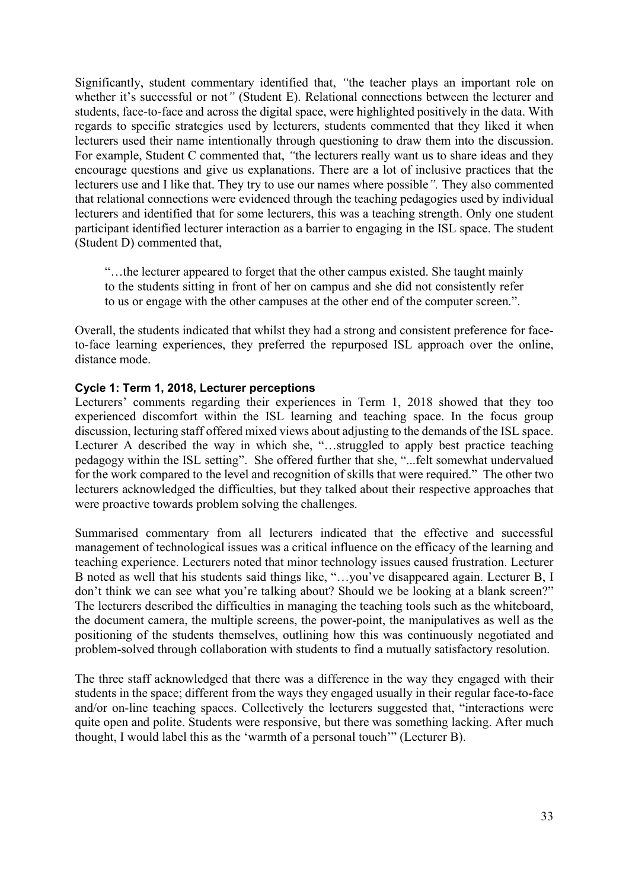Significantly, student commentary identified that, "the teacher plays an important role on whether it's successful or not" (Student E). Relational connections between the lecturer and students, face-to-face and across the digital space, were highlighted positively in the data. With regards to specific strategies used by lecturers, students commented that they liked it when lecturers used their name intentionally through questioning to draw them into the discussion. For example, Student C commented that, "the lecturers really want us to share ideas and they encourage questions and give us explanations. There are a lot of inclusive practices that the lecturers use and I like that. They try to use our names where possible". They also commented that relational connections were evidenced through the teaching pedagogies used by individual lecturers and identified that for some lecturers, this was a teaching strength. Only one student participant identified lecturer interaction as a barrier to engaging in the ISL space. The student (Student D) commented that,

"…the lecturer appeared to forget that the other campus existed. She taught mainly to the students sitting in front of her on campus and she did not consistently refer to us or engage with the other campuses at the other end of the computer screen.".

Overall, the students indicated that whilst they had a strong and consistent preference for faceto-face learning experiences, they preferred the repurposed ISL approach over the online, distance mode.

#### Cycle 1: Term 1, 2018, Lecturer perceptions

Lecturers' comments regarding their experiences in Term 1, 2018 showed that they too experienced discomfort within the ISL learning and teaching space. In the focus group discussion, lecturing staff offered mixed views about adjusting to the demands of the ISL space. Lecturer A described the way in which she, "…struggled to apply best practice teaching pedagogy within the ISL setting". She offered further that she, "...felt somewhat undervalued for the work compared to the level and recognition of skills that were required." The other two lecturers acknowledged the difficulties, but they talked about their respective approaches that were proactive towards problem solving the challenges.

Summarised commentary from all lecturers indicated that the effective and successful management of technological issues was a critical influence on the efficacy of the learning and teaching experience. Lecturers noted that minor technology issues caused frustration. Lecturer B noted as well that his students said things like, "…you've disappeared again. Lecturer B, I don't think we can see what you're talking about? Should we be looking at a blank screen?" The lecturers described the difficulties in managing the teaching tools such as the whiteboard, the document camera, the multiple screens, the power-point, the manipulatives as well as the positioning of the students themselves, outlining how this was continuously negotiated and problem-solved through collaboration with students to find a mutually satisfactory resolution.

The three staff acknowledged that there was a difference in the way they engaged with their students in the space; different from the ways they engaged usually in their regular face-to-face and/or on-line teaching spaces. Collectively the lecturers suggested that, "interactions were quite open and polite. Students were responsive, but there was something lacking. After much thought, I would label this as the 'warmth of a personal touch'" (Lecturer B).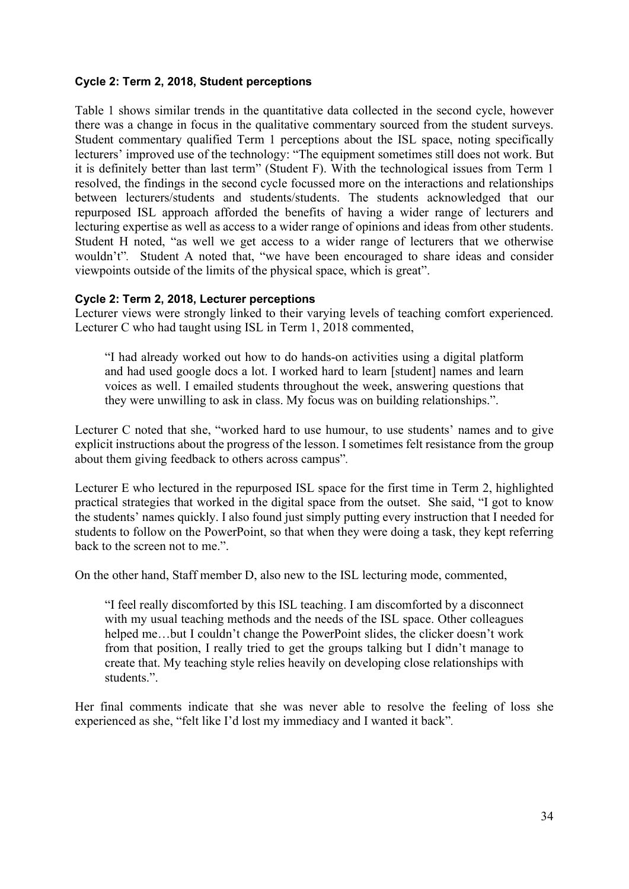### Cycle 2: Term 2, 2018, Student perceptions

Table 1 shows similar trends in the quantitative data collected in the second cycle, however there was a change in focus in the qualitative commentary sourced from the student surveys. Student commentary qualified Term 1 perceptions about the ISL space, noting specifically lecturers' improved use of the technology: "The equipment sometimes still does not work. But it is definitely better than last term" (Student F). With the technological issues from Term 1 resolved, the findings in the second cycle focussed more on the interactions and relationships between lecturers/students and students/students. The students acknowledged that our repurposed ISL approach afforded the benefits of having a wider range of lecturers and lecturing expertise as well as access to a wider range of opinions and ideas from other students. Student H noted, "as well we get access to a wider range of lecturers that we otherwise wouldn't". Student A noted that, "we have been encouraged to share ideas and consider viewpoints outside of the limits of the physical space, which is great".

### Cycle 2: Term 2, 2018, Lecturer perceptions

Lecturer views were strongly linked to their varying levels of teaching comfort experienced. Lecturer C who had taught using ISL in Term 1, 2018 commented,

"I had already worked out how to do hands-on activities using a digital platform and had used google docs a lot. I worked hard to learn [student] names and learn voices as well. I emailed students throughout the week, answering questions that they were unwilling to ask in class. My focus was on building relationships.".

Lecturer C noted that she, "worked hard to use humour, to use students' names and to give explicit instructions about the progress of the lesson. I sometimes felt resistance from the group about them giving feedback to others across campus".

Lecturer E who lectured in the repurposed ISL space for the first time in Term 2, highlighted practical strategies that worked in the digital space from the outset. She said, "I got to know the students' names quickly. I also found just simply putting every instruction that I needed for students to follow on the PowerPoint, so that when they were doing a task, they kept referring back to the screen not to me."

On the other hand, Staff member D, also new to the ISL lecturing mode, commented,

"I feel really discomforted by this ISL teaching. I am discomforted by a disconnect with my usual teaching methods and the needs of the ISL space. Other colleagues helped me…but I couldn't change the PowerPoint slides, the clicker doesn't work from that position, I really tried to get the groups talking but I didn't manage to create that. My teaching style relies heavily on developing close relationships with students.".

Her final comments indicate that she was never able to resolve the feeling of loss she experienced as she, "felt like I'd lost my immediacy and I wanted it back".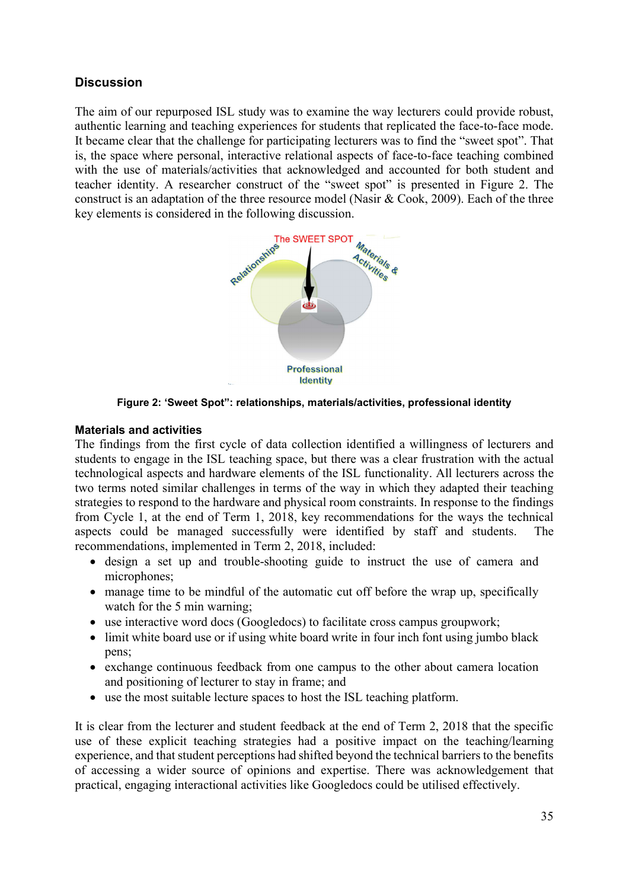## **Discussion**

The aim of our repurposed ISL study was to examine the way lecturers could provide robust, authentic learning and teaching experiences for students that replicated the face-to-face mode. It became clear that the challenge for participating lecturers was to find the "sweet spot". That is, the space where personal, interactive relational aspects of face-to-face teaching combined with the use of materials/activities that acknowledged and accounted for both student and teacher identity. A researcher construct of the "sweet spot" is presented in Figure 2. The construct is an adaptation of the three resource model (Nasir & Cook, 2009). Each of the three key elements is considered in the following discussion.



Figure 2: 'Sweet Spot": relationships, materials/activities, professional identity

### Materials and activities

The findings from the first cycle of data collection identified a willingness of lecturers and students to engage in the ISL teaching space, but there was a clear frustration with the actual technological aspects and hardware elements of the ISL functionality. All lecturers across the two terms noted similar challenges in terms of the way in which they adapted their teaching strategies to respond to the hardware and physical room constraints. In response to the findings from Cycle 1, at the end of Term 1, 2018, key recommendations for the ways the technical aspects could be managed successfully were identified by staff and students. The recommendations, implemented in Term 2, 2018, included:

- design a set up and trouble-shooting guide to instruct the use of camera and microphones;
- manage time to be mindful of the automatic cut off before the wrap up, specifically watch for the 5 min warning;
- use interactive word docs (Googledocs) to facilitate cross campus groupwork;
- limit white board use or if using white board write in four inch font using jumbo black pens;
- exchange continuous feedback from one campus to the other about camera location and positioning of lecturer to stay in frame; and
- use the most suitable lecture spaces to host the ISL teaching platform.

It is clear from the lecturer and student feedback at the end of Term 2, 2018 that the specific use of these explicit teaching strategies had a positive impact on the teaching/learning experience, and that student perceptions had shifted beyond the technical barriers to the benefits of accessing a wider source of opinions and expertise. There was acknowledgement that practical, engaging interactional activities like Googledocs could be utilised effectively.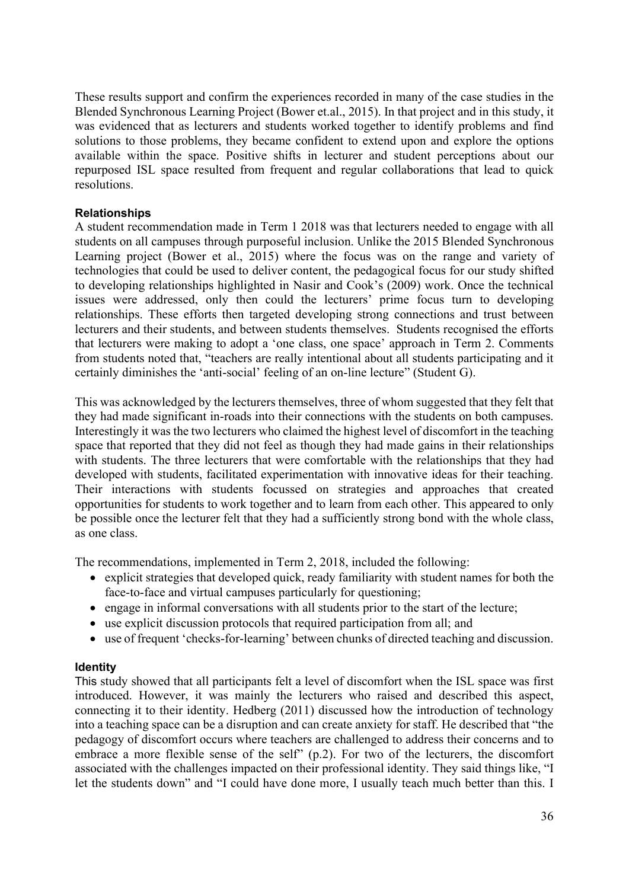These results support and confirm the experiences recorded in many of the case studies in the Blended Synchronous Learning Project (Bower et.al., 2015). In that project and in this study, it was evidenced that as lecturers and students worked together to identify problems and find solutions to those problems, they became confident to extend upon and explore the options available within the space. Positive shifts in lecturer and student perceptions about our repurposed ISL space resulted from frequent and regular collaborations that lead to quick resolutions.

## Relationships

A student recommendation made in Term 1 2018 was that lecturers needed to engage with all students on all campuses through purposeful inclusion. Unlike the 2015 Blended Synchronous Learning project (Bower et al., 2015) where the focus was on the range and variety of technologies that could be used to deliver content, the pedagogical focus for our study shifted to developing relationships highlighted in Nasir and Cook's (2009) work. Once the technical issues were addressed, only then could the lecturers' prime focus turn to developing relationships. These efforts then targeted developing strong connections and trust between lecturers and their students, and between students themselves. Students recognised the efforts that lecturers were making to adopt a 'one class, one space' approach in Term 2. Comments from students noted that, "teachers are really intentional about all students participating and it certainly diminishes the 'anti-social' feeling of an on-line lecture" (Student G).

This was acknowledged by the lecturers themselves, three of whom suggested that they felt that they had made significant in-roads into their connections with the students on both campuses. Interestingly it was the two lecturers who claimed the highest level of discomfort in the teaching space that reported that they did not feel as though they had made gains in their relationships with students. The three lecturers that were comfortable with the relationships that they had developed with students, facilitated experimentation with innovative ideas for their teaching. Their interactions with students focussed on strategies and approaches that created opportunities for students to work together and to learn from each other. This appeared to only be possible once the lecturer felt that they had a sufficiently strong bond with the whole class, as one class.

The recommendations, implemented in Term 2, 2018, included the following:

- explicit strategies that developed quick, ready familiarity with student names for both the face-to-face and virtual campuses particularly for questioning;
- engage in informal conversations with all students prior to the start of the lecture;
- use explicit discussion protocols that required participation from all; and
- use of frequent 'checks-for-learning' between chunks of directed teaching and discussion.

### **Identity**

This study showed that all participants felt a level of discomfort when the ISL space was first introduced. However, it was mainly the lecturers who raised and described this aspect, connecting it to their identity. Hedberg (2011) discussed how the introduction of technology into a teaching space can be a disruption and can create anxiety for staff. He described that "the pedagogy of discomfort occurs where teachers are challenged to address their concerns and to embrace a more flexible sense of the self" (p.2). For two of the lecturers, the discomfort associated with the challenges impacted on their professional identity. They said things like, "I let the students down" and "I could have done more, I usually teach much better than this. I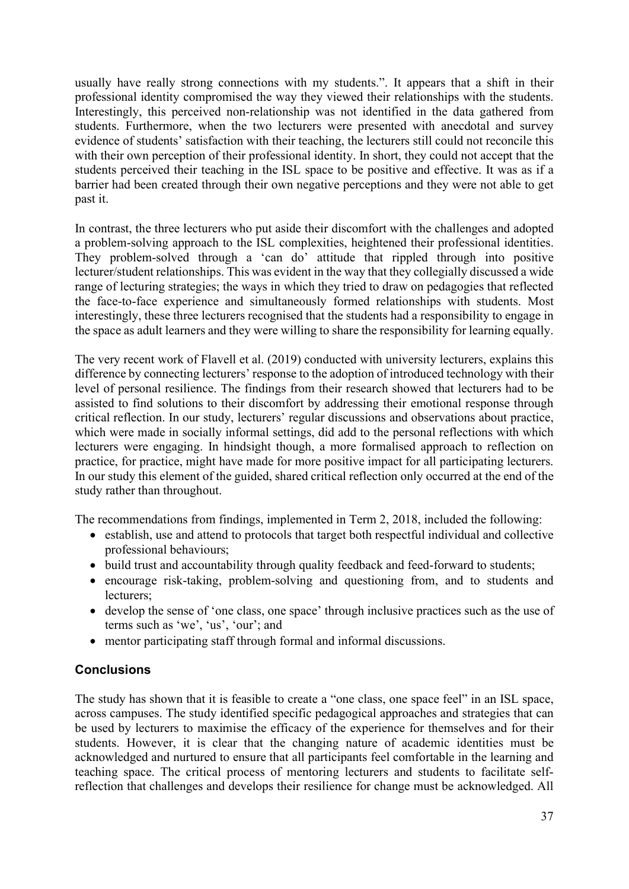usually have really strong connections with my students.". It appears that a shift in their professional identity compromised the way they viewed their relationships with the students. Interestingly, this perceived non-relationship was not identified in the data gathered from students. Furthermore, when the two lecturers were presented with anecdotal and survey evidence of students' satisfaction with their teaching, the lecturers still could not reconcile this with their own perception of their professional identity. In short, they could not accept that the students perceived their teaching in the ISL space to be positive and effective. It was as if a barrier had been created through their own negative perceptions and they were not able to get past it.

In contrast, the three lecturers who put aside their discomfort with the challenges and adopted a problem-solving approach to the ISL complexities, heightened their professional identities. They problem-solved through a 'can do' attitude that rippled through into positive lecturer/student relationships. This was evident in the way that they collegially discussed a wide range of lecturing strategies; the ways in which they tried to draw on pedagogies that reflected the face-to-face experience and simultaneously formed relationships with students. Most interestingly, these three lecturers recognised that the students had a responsibility to engage in the space as adult learners and they were willing to share the responsibility for learning equally.

The very recent work of Flavell et al. (2019) conducted with university lecturers, explains this difference by connecting lecturers' response to the adoption of introduced technology with their level of personal resilience. The findings from their research showed that lecturers had to be assisted to find solutions to their discomfort by addressing their emotional response through critical reflection. In our study, lecturers' regular discussions and observations about practice, which were made in socially informal settings, did add to the personal reflections with which lecturers were engaging. In hindsight though, a more formalised approach to reflection on practice, for practice, might have made for more positive impact for all participating lecturers. In our study this element of the guided, shared critical reflection only occurred at the end of the study rather than throughout.

The recommendations from findings, implemented in Term 2, 2018, included the following:

- establish, use and attend to protocols that target both respectful individual and collective professional behaviours;
- build trust and accountability through quality feedback and feed-forward to students;
- encourage risk-taking, problem-solving and questioning from, and to students and lecturers;
- develop the sense of 'one class, one space' through inclusive practices such as the use of terms such as 'we', 'us', 'our'; and
- mentor participating staff through formal and informal discussions.

## **Conclusions**

The study has shown that it is feasible to create a "one class, one space feel" in an ISL space, across campuses. The study identified specific pedagogical approaches and strategies that can be used by lecturers to maximise the efficacy of the experience for themselves and for their students. However, it is clear that the changing nature of academic identities must be acknowledged and nurtured to ensure that all participants feel comfortable in the learning and teaching space. The critical process of mentoring lecturers and students to facilitate selfreflection that challenges and develops their resilience for change must be acknowledged. All